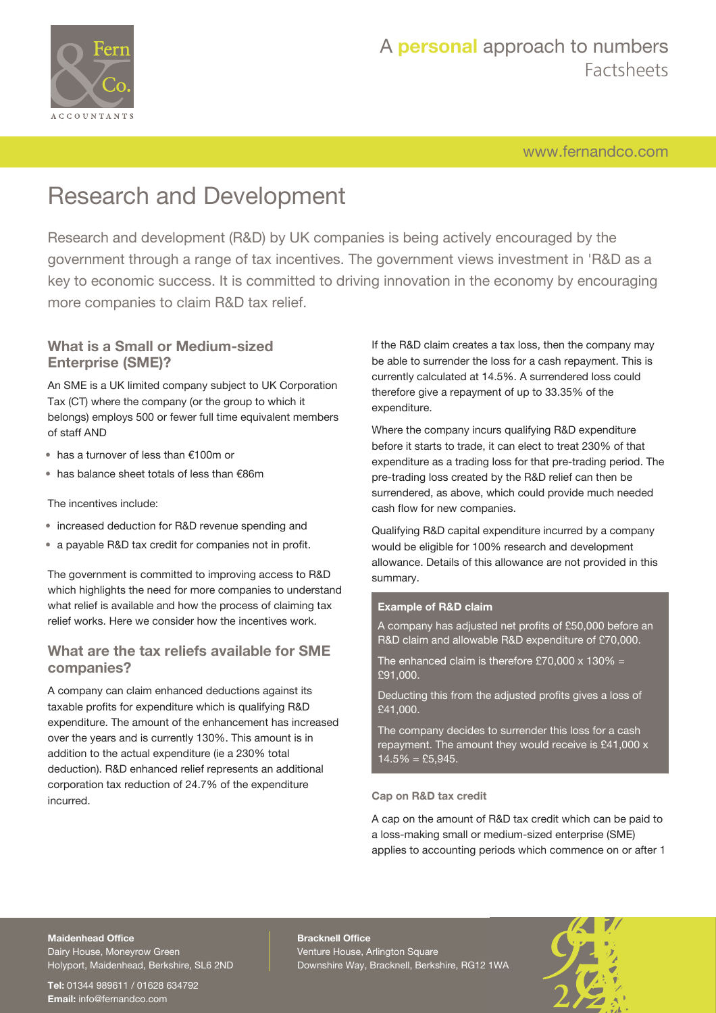

[www.fernandco.com](http://www.fernandco.com)

# Research and Development

Research and development (R&D) by UK companies is being actively encouraged by the government through a range of tax incentives. The government views investment in 'R&D as a key to economic success. It is committed to driving innovation in the economy by encouraging more companies to claim R&D tax relief.

### **What is a Small or Medium-sized Enterprise (SME)?**

An SME is a UK limited company subject to UK Corporation Tax (CT) where the company (or the group to which it belongs) employs 500 or fewer full time equivalent members of staff AND

- has a turnover of less than €100m or
- has balance sheet totals of less than €86m

### The incentives include:

- increased deduction for R&D revenue spending and
- a payable R&D tax credit for companies not in profit.

The government is committed to improving access to R&D which highlights the need for more companies to understand what relief is available and how the process of claiming tax relief works. Here we consider how the incentives work.

### **What are the tax reliefs available for SME companies?**

A company can claim enhanced deductions against its taxable profits for expenditure which is qualifying R&D expenditure. The amount of the enhancement has increased over the years and is currently 130%. This amount is in addition to the actual expenditure (ie a 230% total deduction). R&D enhanced relief represents an additional corporation tax reduction of 24.7% of the expenditure incurred.

If the R&D claim creates a tax loss, then the company may be able to surrender the loss for a cash repayment. This is currently calculated at 14.5%. A surrendered loss could therefore give a repayment of up to 33.35% of the expenditure.

Where the company incurs qualifying R&D expenditure before it starts to trade, it can elect to treat 230% of that expenditure as a trading loss for that pre-trading period. The pre-trading loss created by the R&D relief can then be surrendered, as above, which could provide much needed cash flow for new companies.

Qualifying R&D capital expenditure incurred by a company would be eligible for 100% research and development allowance. Details of this allowance are not provided in this summary.

### **Example of R&D claim**

A company has adjusted net profits of £50,000 before an R&D claim and allowable R&D expenditure of £70,000.

The enhanced claim is therefore £70,000  $\times$  130% = £91,000.

Deducting this from the adjusted profits gives a loss of £41,000.

The company decides to surrender this loss for a cash repayment. The amount they would receive is £41,000 x  $14.5\% = \text{\pounds}5,945.$ 

### **Cap on R&D tax credit**

A cap on the amount of R&D tax credit which can be paid to a loss-making small or medium-sized enterprise (SME) applies to accounting periods which commence on or after 1

## **Maidenhead Office**

Dairy House, Moneyrow Green Holyport, Maidenhead, Berkshire, SL6 2ND

**Tel:** 01344 989611 / 01628 634792 **Email:** [info@fernandco.com](mailto:info@fernandco.com)

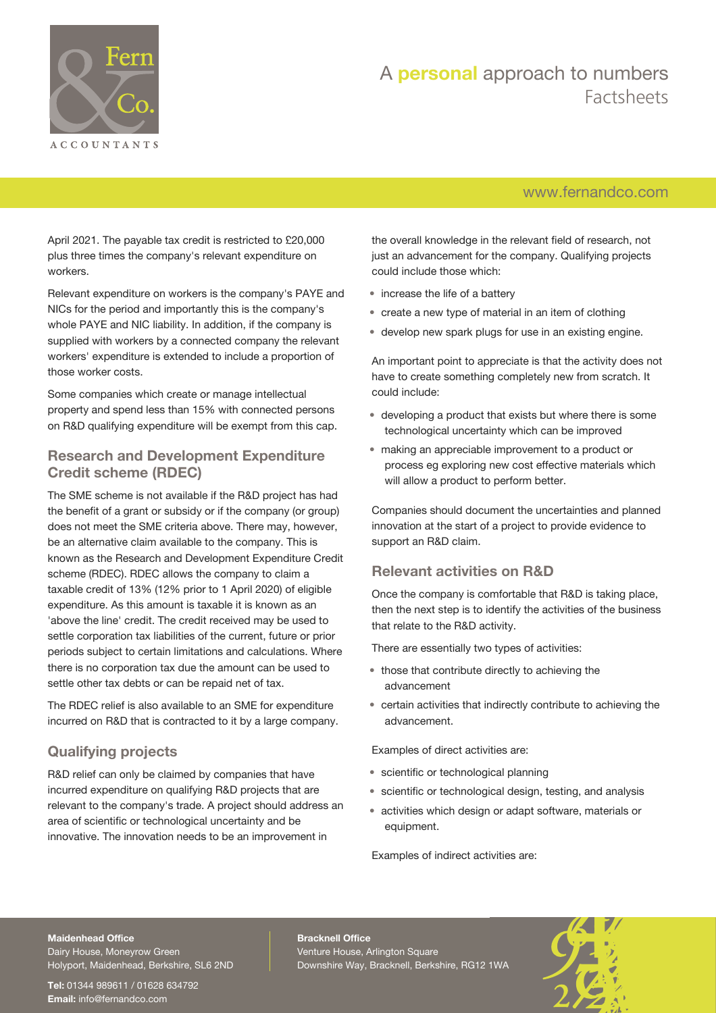

## [www.fernandco.com](http://www.fernandco.com)

April 2021. The payable tax credit is restricted to £20,000 plus three times the company's relevant expenditure on workers.

Relevant expenditure on workers is the company's PAYE and NICs for the period and importantly this is the company's whole PAYE and NIC liability. In addition, if the company is supplied with workers by a connected company the relevant workers' expenditure is extended to include a proportion of those worker costs.

Some companies which create or manage intellectual property and spend less than 15% with connected persons on R&D qualifying expenditure will be exempt from this cap.

### **Research and Development Expenditure Credit scheme (RDEC)**

The SME scheme is not available if the R&D project has had the benefit of a grant or subsidy or if the company (or group) does not meet the SME criteria above. There may, however, be an alternative claim available to the company. This is known as the Research and Development Expenditure Credit scheme (RDEC). RDEC allows the company to claim a taxable credit of 13% (12% prior to 1 April 2020) of eligible expenditure. As this amount is taxable it is known as an 'above the line' credit. The credit received may be used to settle corporation tax liabilities of the current, future or prior periods subject to certain limitations and calculations. Where there is no corporation tax due the amount can be used to settle other tax debts or can be repaid net of tax.

The RDEC relief is also available to an SME for expenditure incurred on R&D that is contracted to it by a large company.

## **Qualifying projects**

R&D relief can only be claimed by companies that have incurred expenditure on qualifying R&D projects that are relevant to the company's trade. A project should address an area of scientific or technological uncertainty and be innovative. The innovation needs to be an improvement in

the overall knowledge in the relevant field of research, not just an advancement for the company. Qualifying projects could include those which:

- increase the life of a battery
- create a new type of material in an item of clothing
- develop new spark plugs for use in an existing engine.

An important point to appreciate is that the activity does not have to create something completely new from scratch. It could include:

- developing a product that exists but where there is some technological uncertainty which can be improved
- making an appreciable improvement to a product or process eg exploring new cost effective materials which will allow a product to perform better.

Companies should document the uncertainties and planned innovation at the start of a project to provide evidence to support an R&D claim.

## **Relevant activities on R&D**

Once the company is comfortable that R&D is taking place, then the next step is to identify the activities of the business that relate to the R&D activity.

There are essentially two types of activities:

- those that contribute directly to achieving the advancement
- certain activities that indirectly contribute to achieving the advancement.

Examples of direct activities are:

- scientific or technological planning
- scientific or technological design, testing, and analysis
- activities which design or adapt software, materials or equipment.

Examples of indirect activities are:

#### **Maidenhead Office**

Dairy House, Moneyrow Green Holyport, Maidenhead, Berkshire, SL6 2ND

**Tel:** 01344 989611 / 01628 634792 **Email:** [info@fernandco.com](mailto:info@fernandco.com)

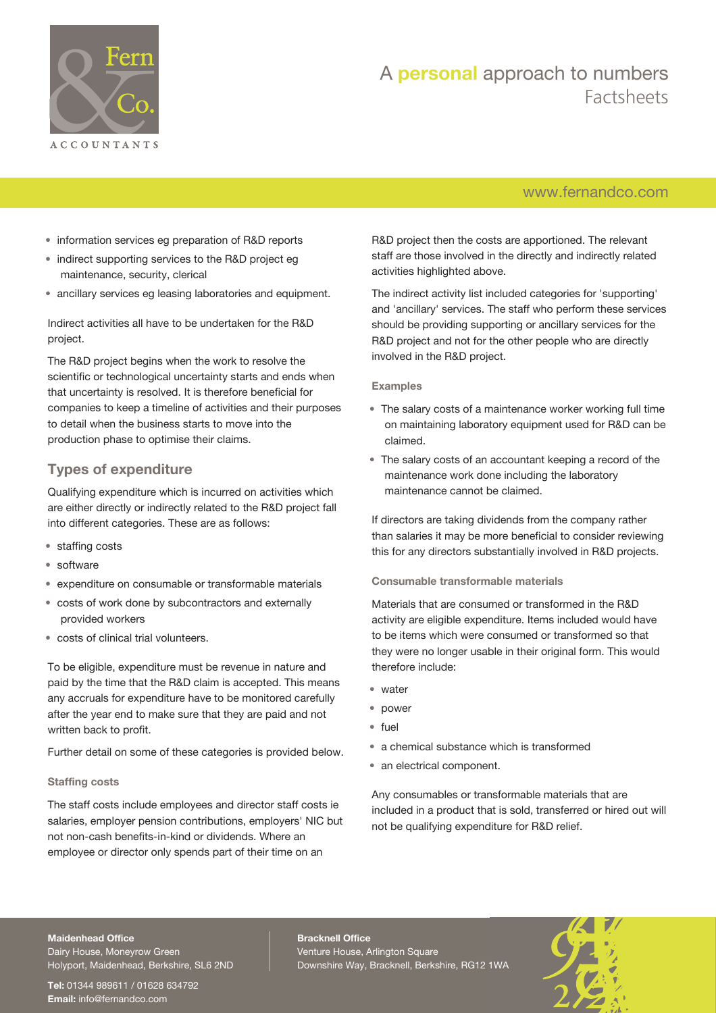

## [www.fernandco.com](http://www.fernandco.com)

- information services eg preparation of R&D reports
- indirect supporting services to the R&D project eg maintenance, security, clerical
- ancillary services eg leasing laboratories and equipment.

Indirect activities all have to be undertaken for the R&D project.

The R&D project begins when the work to resolve the scientific or technological uncertainty starts and ends when that uncertainty is resolved. It is therefore beneficial for companies to keep a timeline of activities and their purposes to detail when the business starts to move into the production phase to optimise their claims.

## **Types of expenditure**

Qualifying expenditure which is incurred on activities which are either directly or indirectly related to the R&D project fall into different categories. These are as follows:

- staffing costs
- software
- expenditure on consumable or transformable materials
- costs of work done by subcontractors and externally provided workers
- costs of clinical trial volunteers.

To be eligible, expenditure must be revenue in nature and paid by the time that the R&D claim is accepted. This means any accruals for expenditure have to be monitored carefully after the year end to make sure that they are paid and not written back to profit.

Further detail on some of these categories is provided below.

### **Staffing costs**

The staff costs include employees and director staff costs ie salaries, employer pension contributions, employers' NIC but not non-cash benefits-in-kind or dividends. Where an employee or director only spends part of their time on an

R&D project then the costs are apportioned. The relevant staff are those involved in the directly and indirectly related activities highlighted above.

The indirect activity list included categories for 'supporting' and 'ancillary' services. The staff who perform these services should be providing supporting or ancillary services for the R&D project and not for the other people who are directly involved in the R&D project.

### **Examples**

- The salary costs of a maintenance worker working full time on maintaining laboratory equipment used for R&D can be claimed.
- The salary costs of an accountant keeping a record of the maintenance work done including the laboratory maintenance cannot be claimed.

If directors are taking dividends from the company rather than salaries it may be more beneficial to consider reviewing this for any directors substantially involved in R&D projects.

### **Consumable transformable materials**

Materials that are consumed or transformed in the R&D activity are eligible expenditure. Items included would have to be items which were consumed or transformed so that they were no longer usable in their original form. This would therefore include:

- water
- power
- fuel
- a chemical substance which is transformed
- an electrical component.

Any consumables or transformable materials that are included in a product that is sold, transferred or hired out will not be qualifying expenditure for R&D relief.

#### **Maidenhead Office**

Dairy House, Moneyrow Green Holyport, Maidenhead, Berkshire, SL6 2ND

**Tel:** 01344 989611 / 01628 634792 **Email:** [info@fernandco.com](mailto:info@fernandco.com)